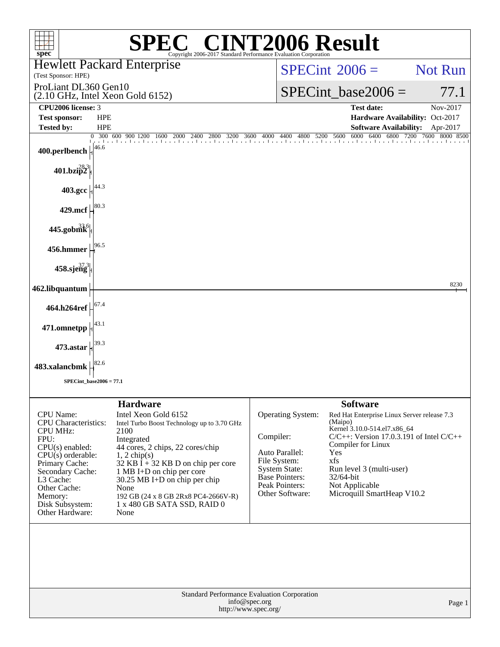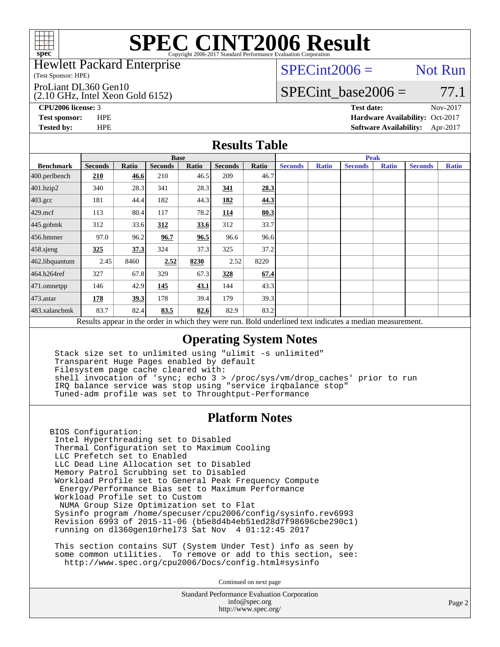

#### Hewlett Packard Enterprise

(Test Sponsor: HPE)

ProLiant DL360 Gen10

(2.10 GHz, Intel Xeon Gold 6152)

 $SPECint2006 =$  Not Run

SPECint base2006 =  $77.1$ 

**[CPU2006 license:](http://www.spec.org/auto/cpu2006/Docs/result-fields.html#CPU2006license)** 3 **[Test date:](http://www.spec.org/auto/cpu2006/Docs/result-fields.html#Testdate)** Nov-2017

**[Test sponsor:](http://www.spec.org/auto/cpu2006/Docs/result-fields.html#Testsponsor)** HPE **[Hardware Availability:](http://www.spec.org/auto/cpu2006/Docs/result-fields.html#HardwareAvailability)** Oct-2017 **[Tested by:](http://www.spec.org/auto/cpu2006/Docs/result-fields.html#Testedby)** HPE **[Software Availability:](http://www.spec.org/auto/cpu2006/Docs/result-fields.html#SoftwareAvailability)** Apr-2017

### **[Results Table](http://www.spec.org/auto/cpu2006/Docs/result-fields.html#ResultsTable)**

|                                                                                                          | <b>Base</b>    |       |                |       |                |       | <b>Peak</b>    |              |                |              |                |              |
|----------------------------------------------------------------------------------------------------------|----------------|-------|----------------|-------|----------------|-------|----------------|--------------|----------------|--------------|----------------|--------------|
| <b>Benchmark</b>                                                                                         | <b>Seconds</b> | Ratio | <b>Seconds</b> | Ratio | <b>Seconds</b> | Ratio | <b>Seconds</b> | <b>Ratio</b> | <b>Seconds</b> | <b>Ratio</b> | <b>Seconds</b> | <b>Ratio</b> |
| 400.perlbench                                                                                            | 210            | 46.6  | 210            | 46.5  | 209            | 46.7  |                |              |                |              |                |              |
| 401.bzip2                                                                                                | 340            | 28.3  | 341            | 28.3  | 341            | 28.3  |                |              |                |              |                |              |
| $403.\mathrm{gcc}$                                                                                       | 181            | 44.4  | 182            | 44.3  | 182            | 44.3  |                |              |                |              |                |              |
| $429$ .mcf                                                                                               | 113            | 80.4  | 117            | 78.2  | 114            | 80.3  |                |              |                |              |                |              |
| $445$ .gobmk                                                                                             | 312            | 33.6  | 312            | 33.6  | 312            | 33.7  |                |              |                |              |                |              |
| $456.$ hmmer                                                                                             | 97.0           | 96.2  | 96.7           | 96.5  | 96.6           | 96.6  |                |              |                |              |                |              |
| $458$ .sjeng                                                                                             | 325            | 37.3  | 324            | 37.3  | 325            | 37.2  |                |              |                |              |                |              |
| 462.libquantum                                                                                           | 2.45           | 8460  | 2.52           | 8230  | 2.52           | 8220  |                |              |                |              |                |              |
| 464.h264ref                                                                                              | 327            | 67.8  | 329            | 67.3  | 328            | 67.4  |                |              |                |              |                |              |
| $ 471$ .omnetpp                                                                                          | 146            | 42.9  | 145            | 43.1  | 144            | 43.3  |                |              |                |              |                |              |
| $473$ . astar                                                                                            | 178            | 39.3  | 178            | 39.4  | 179            | 39.3  |                |              |                |              |                |              |
| 483.xalancbmk                                                                                            | 83.7           | 82.4  | 83.5           | 82.6  | 82.9           | 83.2  |                |              |                |              |                |              |
| Results appear in the order in which they were run. Bold underlined text indicates a median measurement. |                |       |                |       |                |       |                |              |                |              |                |              |

### **[Operating System Notes](http://www.spec.org/auto/cpu2006/Docs/result-fields.html#OperatingSystemNotes)**

 Stack size set to unlimited using "ulimit -s unlimited" Transparent Huge Pages enabled by default Filesystem page cache cleared with: shell invocation of 'sync; echo 3 > /proc/sys/vm/drop\_caches' prior to run IRQ balance service was stop using "service irqbalance stop" Tuned-adm profile was set to Throughtput-Performance

### **[Platform Notes](http://www.spec.org/auto/cpu2006/Docs/result-fields.html#PlatformNotes)**

BIOS Configuration: Intel Hyperthreading set to Disabled Thermal Configuration set to Maximum Cooling LLC Prefetch set to Enabled LLC Dead Line Allocation set to Disabled Memory Patrol Scrubbing set to Disabled Workload Profile set to General Peak Frequency Compute Energy/Performance Bias set to Maximum Performance Workload Profile set to Custom NUMA Group Size Optimization set to Flat Sysinfo program /home/specuser/cpu2006/config/sysinfo.rev6993 Revision 6993 of 2015-11-06 (b5e8d4b4eb51ed28d7f98696cbe290c1) running on dl360gen10rhel73 Sat Nov 4 01:12:45 2017

 This section contains SUT (System Under Test) info as seen by some common utilities. To remove or add to this section, see: <http://www.spec.org/cpu2006/Docs/config.html#sysinfo>

Continued on next page

Standard Performance Evaluation Corporation [info@spec.org](mailto:info@spec.org) <http://www.spec.org/>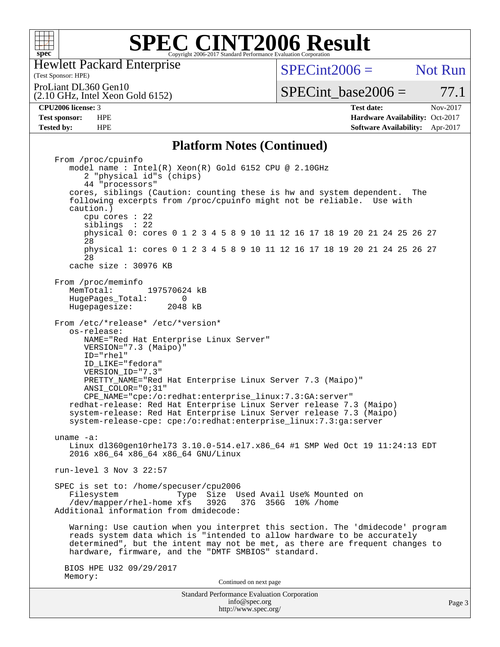

Hewlett Packard Enterprise

(Test Sponsor: HPE)

 $SPECint2006 =$  Not Run

ProLiant DL360 Gen10

(2.10 GHz, Intel Xeon Gold 6152)

**[Tested by:](http://www.spec.org/auto/cpu2006/Docs/result-fields.html#Testedby)** HPE **[Software Availability:](http://www.spec.org/auto/cpu2006/Docs/result-fields.html#SoftwareAvailability)** Apr-2017

 $SPECTnt\_base2006 = 77.1$ **[CPU2006 license:](http://www.spec.org/auto/cpu2006/Docs/result-fields.html#CPU2006license)** 3 **[Test date:](http://www.spec.org/auto/cpu2006/Docs/result-fields.html#Testdate)** Nov-2017 **[Test sponsor:](http://www.spec.org/auto/cpu2006/Docs/result-fields.html#Testsponsor)** HPE **[Hardware Availability:](http://www.spec.org/auto/cpu2006/Docs/result-fields.html#HardwareAvailability)** Oct-2017

#### **[Platform Notes \(Continued\)](http://www.spec.org/auto/cpu2006/Docs/result-fields.html#PlatformNotes)**

Standard Performance Evaluation Corporation [info@spec.org](mailto:info@spec.org) Page 3 From /proc/cpuinfo model name : Intel(R) Xeon(R) Gold 6152 CPU @ 2.10GHz 2 "physical id"s (chips) 44 "processors" cores, siblings (Caution: counting these is hw and system dependent. The following excerpts from /proc/cpuinfo might not be reliable. Use with caution.) cpu cores : 22 siblings : 22 physical 0: cores 0 1 2 3 4 5 8 9 10 11 12 16 17 18 19 20 21 24 25 26 27 28 physical 1: cores 0 1 2 3 4 5 8 9 10 11 12 16 17 18 19 20 21 24 25 26 27 28 cache size : 30976 KB From /proc/meminfo<br>MemTotal: 197570624 kB HugePages\_Total: 0<br>Hugepagesize: 2048 kB Hugepagesize: From /etc/\*release\* /etc/\*version\* os-release: NAME="Red Hat Enterprise Linux Server" VERSION="7.3 (Maipo)" ID="rhel" ID\_LIKE="fedora" VERSION\_ID="7.3" PRETTY\_NAME="Red Hat Enterprise Linux Server 7.3 (Maipo)" ANSI\_COLOR="0;31" CPE\_NAME="cpe:/o:redhat:enterprise\_linux:7.3:GA:server" redhat-release: Red Hat Enterprise Linux Server release 7.3 (Maipo) system-release: Red Hat Enterprise Linux Server release 7.3 (Maipo) system-release-cpe: cpe:/o:redhat:enterprise\_linux:7.3:ga:server uname -a: Linux dl360gen10rhel73 3.10.0-514.el7.x86\_64 #1 SMP Wed Oct 19 11:24:13 EDT 2016 x86\_64 x86\_64 x86\_64 GNU/Linux run-level 3 Nov 3 22:57 SPEC is set to: /home/specuser/cpu2006 Filesystem Type Size Used Avail Use% Mounted on<br>/dev/mapper/rhel-home xfs 392G 37G 356G 10% /home  $/$ dev/mapper/rhel-home  $xfs$  Additional information from dmidecode: Warning: Use caution when you interpret this section. The 'dmidecode' program reads system data which is "intended to allow hardware to be accurately determined", but the intent may not be met, as there are frequent changes to hardware, firmware, and the "DMTF SMBIOS" standard. BIOS HPE U32 09/29/2017 Memory: Continued on next page

<http://www.spec.org/>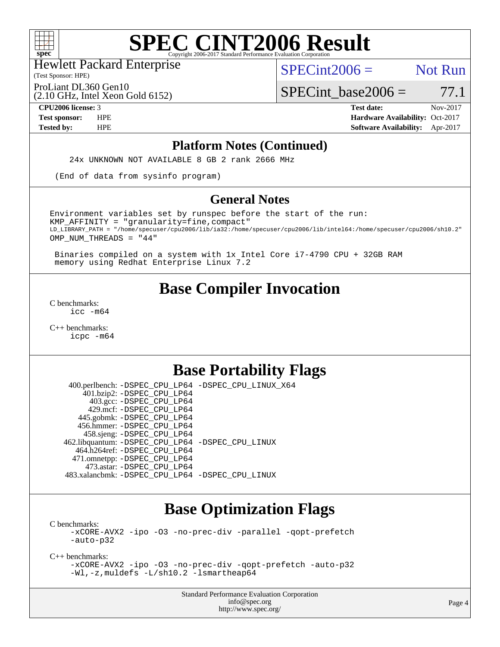

(Test Sponsor: HPE) Hewlett Packard Enterprise

 $SPECint2006 =$  Not Run

ProLiant DL360 Gen10

(2.10 GHz, Intel Xeon Gold 6152)

 $SPECTnt\_base2006 = 77.1$ 

**[CPU2006 license:](http://www.spec.org/auto/cpu2006/Docs/result-fields.html#CPU2006license)** 3 **[Test date:](http://www.spec.org/auto/cpu2006/Docs/result-fields.html#Testdate)** Nov-2017 **[Test sponsor:](http://www.spec.org/auto/cpu2006/Docs/result-fields.html#Testsponsor)** HPE **[Hardware Availability:](http://www.spec.org/auto/cpu2006/Docs/result-fields.html#HardwareAvailability)** Oct-2017 **[Tested by:](http://www.spec.org/auto/cpu2006/Docs/result-fields.html#Testedby)** HPE **[Software Availability:](http://www.spec.org/auto/cpu2006/Docs/result-fields.html#SoftwareAvailability)** Apr-2017

#### **[Platform Notes \(Continued\)](http://www.spec.org/auto/cpu2006/Docs/result-fields.html#PlatformNotes)**

24x UNKNOWN NOT AVAILABLE 8 GB 2 rank 2666 MHz

(End of data from sysinfo program)

#### **[General Notes](http://www.spec.org/auto/cpu2006/Docs/result-fields.html#GeneralNotes)**

Environment variables set by runspec before the start of the run:  $KMP$  AFFINITY = "granularity=fine, compact" LD\_LIBRARY\_PATH = "/home/specuser/cpu2006/lib/ia32:/home/specuser/cpu2006/lib/intel64:/home/specuser/cpu2006/sh10.2" OMP\_NUM\_THREADS = "44"

 Binaries compiled on a system with 1x Intel Core i7-4790 CPU + 32GB RAM memory using Redhat Enterprise Linux 7.2

## **[Base Compiler Invocation](http://www.spec.org/auto/cpu2006/Docs/result-fields.html#BaseCompilerInvocation)**

[C benchmarks](http://www.spec.org/auto/cpu2006/Docs/result-fields.html#Cbenchmarks): [icc -m64](http://www.spec.org/cpu2006/results/res2017q4/cpu2006-20171114-50614.flags.html#user_CCbase_intel_icc_64bit_bda6cc9af1fdbb0edc3795bac97ada53)

[C++ benchmarks:](http://www.spec.org/auto/cpu2006/Docs/result-fields.html#CXXbenchmarks) [icpc -m64](http://www.spec.org/cpu2006/results/res2017q4/cpu2006-20171114-50614.flags.html#user_CXXbase_intel_icpc_64bit_fc66a5337ce925472a5c54ad6a0de310)

## **[Base Portability Flags](http://www.spec.org/auto/cpu2006/Docs/result-fields.html#BasePortabilityFlags)**

 400.perlbench: [-DSPEC\\_CPU\\_LP64](http://www.spec.org/cpu2006/results/res2017q4/cpu2006-20171114-50614.flags.html#b400.perlbench_basePORTABILITY_DSPEC_CPU_LP64) [-DSPEC\\_CPU\\_LINUX\\_X64](http://www.spec.org/cpu2006/results/res2017q4/cpu2006-20171114-50614.flags.html#b400.perlbench_baseCPORTABILITY_DSPEC_CPU_LINUX_X64) 401.bzip2: [-DSPEC\\_CPU\\_LP64](http://www.spec.org/cpu2006/results/res2017q4/cpu2006-20171114-50614.flags.html#suite_basePORTABILITY401_bzip2_DSPEC_CPU_LP64) 403.gcc: [-DSPEC\\_CPU\\_LP64](http://www.spec.org/cpu2006/results/res2017q4/cpu2006-20171114-50614.flags.html#suite_basePORTABILITY403_gcc_DSPEC_CPU_LP64) 429.mcf: [-DSPEC\\_CPU\\_LP64](http://www.spec.org/cpu2006/results/res2017q4/cpu2006-20171114-50614.flags.html#suite_basePORTABILITY429_mcf_DSPEC_CPU_LP64) 445.gobmk: [-DSPEC\\_CPU\\_LP64](http://www.spec.org/cpu2006/results/res2017q4/cpu2006-20171114-50614.flags.html#suite_basePORTABILITY445_gobmk_DSPEC_CPU_LP64) 456.hmmer: [-DSPEC\\_CPU\\_LP64](http://www.spec.org/cpu2006/results/res2017q4/cpu2006-20171114-50614.flags.html#suite_basePORTABILITY456_hmmer_DSPEC_CPU_LP64) 458.sjeng: [-DSPEC\\_CPU\\_LP64](http://www.spec.org/cpu2006/results/res2017q4/cpu2006-20171114-50614.flags.html#suite_basePORTABILITY458_sjeng_DSPEC_CPU_LP64) 462.libquantum: [-DSPEC\\_CPU\\_LP64](http://www.spec.org/cpu2006/results/res2017q4/cpu2006-20171114-50614.flags.html#suite_basePORTABILITY462_libquantum_DSPEC_CPU_LP64) [-DSPEC\\_CPU\\_LINUX](http://www.spec.org/cpu2006/results/res2017q4/cpu2006-20171114-50614.flags.html#b462.libquantum_baseCPORTABILITY_DSPEC_CPU_LINUX) 464.h264ref: [-DSPEC\\_CPU\\_LP64](http://www.spec.org/cpu2006/results/res2017q4/cpu2006-20171114-50614.flags.html#suite_basePORTABILITY464_h264ref_DSPEC_CPU_LP64) 471.omnetpp: [-DSPEC\\_CPU\\_LP64](http://www.spec.org/cpu2006/results/res2017q4/cpu2006-20171114-50614.flags.html#suite_basePORTABILITY471_omnetpp_DSPEC_CPU_LP64) 473.astar: [-DSPEC\\_CPU\\_LP64](http://www.spec.org/cpu2006/results/res2017q4/cpu2006-20171114-50614.flags.html#suite_basePORTABILITY473_astar_DSPEC_CPU_LP64) 483.xalancbmk: [-DSPEC\\_CPU\\_LP64](http://www.spec.org/cpu2006/results/res2017q4/cpu2006-20171114-50614.flags.html#suite_basePORTABILITY483_xalancbmk_DSPEC_CPU_LP64) [-DSPEC\\_CPU\\_LINUX](http://www.spec.org/cpu2006/results/res2017q4/cpu2006-20171114-50614.flags.html#b483.xalancbmk_baseCXXPORTABILITY_DSPEC_CPU_LINUX)

## **[Base Optimization Flags](http://www.spec.org/auto/cpu2006/Docs/result-fields.html#BaseOptimizationFlags)**

[C benchmarks](http://www.spec.org/auto/cpu2006/Docs/result-fields.html#Cbenchmarks): [-xCORE-AVX2](http://www.spec.org/cpu2006/results/res2017q4/cpu2006-20171114-50614.flags.html#user_CCbase_f-xCORE-AVX2) [-ipo](http://www.spec.org/cpu2006/results/res2017q4/cpu2006-20171114-50614.flags.html#user_CCbase_f-ipo) [-O3](http://www.spec.org/cpu2006/results/res2017q4/cpu2006-20171114-50614.flags.html#user_CCbase_f-O3) [-no-prec-div](http://www.spec.org/cpu2006/results/res2017q4/cpu2006-20171114-50614.flags.html#user_CCbase_f-no-prec-div) [-parallel](http://www.spec.org/cpu2006/results/res2017q4/cpu2006-20171114-50614.flags.html#user_CCbase_f-parallel) [-qopt-prefetch](http://www.spec.org/cpu2006/results/res2017q4/cpu2006-20171114-50614.flags.html#user_CCbase_f-qopt-prefetch) [-auto-p32](http://www.spec.org/cpu2006/results/res2017q4/cpu2006-20171114-50614.flags.html#user_CCbase_f-auto-p32)

[C++ benchmarks:](http://www.spec.org/auto/cpu2006/Docs/result-fields.html#CXXbenchmarks)

[-xCORE-AVX2](http://www.spec.org/cpu2006/results/res2017q4/cpu2006-20171114-50614.flags.html#user_CXXbase_f-xCORE-AVX2) [-ipo](http://www.spec.org/cpu2006/results/res2017q4/cpu2006-20171114-50614.flags.html#user_CXXbase_f-ipo) [-O3](http://www.spec.org/cpu2006/results/res2017q4/cpu2006-20171114-50614.flags.html#user_CXXbase_f-O3) [-no-prec-div](http://www.spec.org/cpu2006/results/res2017q4/cpu2006-20171114-50614.flags.html#user_CXXbase_f-no-prec-div) [-qopt-prefetch](http://www.spec.org/cpu2006/results/res2017q4/cpu2006-20171114-50614.flags.html#user_CXXbase_f-qopt-prefetch) [-auto-p32](http://www.spec.org/cpu2006/results/res2017q4/cpu2006-20171114-50614.flags.html#user_CXXbase_f-auto-p32) [-Wl,-z,muldefs](http://www.spec.org/cpu2006/results/res2017q4/cpu2006-20171114-50614.flags.html#user_CXXbase_link_force_multiple1_74079c344b956b9658436fd1b6dd3a8a) [-L/sh10.2 -lsmartheap64](http://www.spec.org/cpu2006/results/res2017q4/cpu2006-20171114-50614.flags.html#user_CXXbase_SmartHeap64_63911d860fc08c15fa1d5bf319b9d8d5)

> Standard Performance Evaluation Corporation [info@spec.org](mailto:info@spec.org) <http://www.spec.org/>